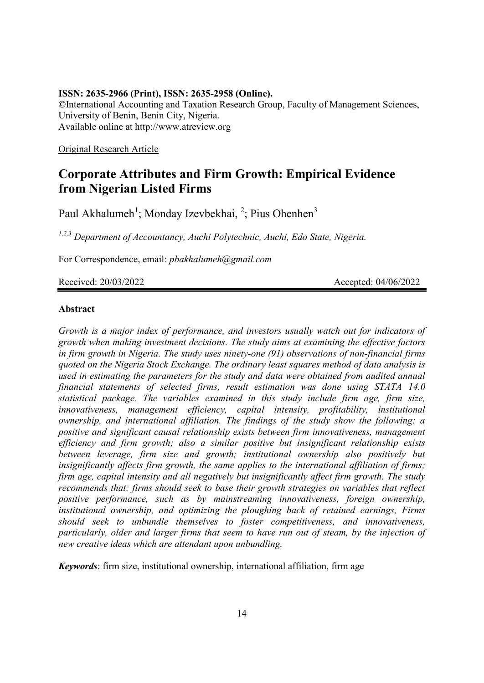#### **ISSN: 2635-2966 (Print), ISSN: 2635-2958 (Online).**

**©**International Accounting and Taxation Research Group, Faculty of Management Sciences, University of Benin, Benin City, Nigeria. Available online at http://www.atreview.org

Original Research Article

# **Corporate Attributes and Firm Growth: Empirical Evidence from Nigerian Listed Firms**

Paul Akhalumeh<sup>1</sup>; Monday Izevbekhai, <sup>2</sup>; Pius Ohenhen<sup>3</sup>

*1,2,3 Department of Accountancy, Auchi Polytechnic, Auchi, Edo State, Nigeria.*

For Correspondence, email: *pbakhalumeh@gmail.com*

Received: 20/03/2022 Accepted: 04/06/2022

# **Abstract**

*Growth is a major index of performance, and investors usually watch out for indicators of growth when making investment decisions. The study aims at examining the effective factors in firm growth in Nigeria. The study uses ninety-one (91) observations of non-financial firms quoted on the Nigeria Stock Exchange. The ordinary least squares method of data analysis is used in estimating the parameters for the study and data were obtained from audited annual financial statements of selected firms, result estimation was done using STATA 14.0 statistical package. The variables examined in this study include firm age, firm size, innovativeness, management efficiency, capital intensity, profitability, institutional ownership, and international affiliation. The findings of the study show the following: a positive and significant causal relationship exists between firm innovativeness, management efficiency and firm growth; also a similar positive but insignificant relationship exists between leverage, firm size and growth; institutional ownership also positively but insignificantly affects firm growth, the same applies to the international affiliation of firms; firm age, capital intensity and all negatively but insignificantly affect firm growth. The study recommends that: firms should seek to base their growth strategies on variables that reflect positive performance, such as by mainstreaming innovativeness, foreign ownership, institutional ownership, and optimizing the ploughing back of retained earnings, Firms should seek to unbundle themselves to foster competitiveness, and innovativeness, particularly, older and larger firms that seem to have run out of steam, by the injection of new creative ideas which are attendant upon unbundling.* 

*Keywords*: firm size, institutional ownership, international affiliation, firm age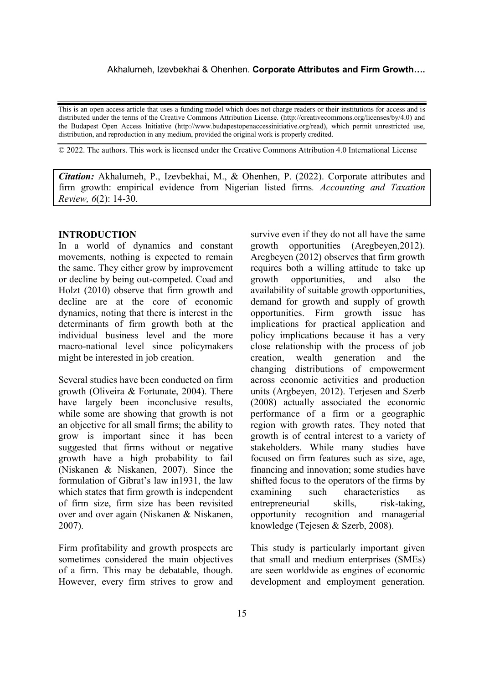This is an open access article that uses a funding model which does not charge readers or their institutions for access and is distributed under the terms of the Creative Commons Attribution License. (http://creativecommons.org/licenses/by/4.0) and the Budapest Open Access Initiative (http://www.budapestopenaccessinitiative.org/read), which permit unrestricted use, distribution, and reproduction in any medium, provided the original work is properly credited.

© 2022. The authors. This work is licensed under the Creative Commons Attribution 4.0 International License

*Citation:* Akhalumeh, P., Izevbekhai, M., & Ohenhen, P. (2022). Corporate attributes and firm growth: empirical evidence from Nigerian listed firms*. Accounting and Taxation Review, 6*(2): 14-30.

#### **INTRODUCTION**

In a world of dynamics and constant movements, nothing is expected to remain the same. They either grow by improvement or decline by being out-competed. Coad and Holzt (2010) observe that firm growth and decline are at the core of economic dynamics, noting that there is interest in the determinants of firm growth both at the individual business level and the more macro-national level since policymakers might be interested in job creation.

Several studies have been conducted on firm growth (Oliveira & Fortunate, 2004). There have largely been inconclusive results, while some are showing that growth is not an objective for all small firms; the ability to grow is important since it has been suggested that firms without or negative growth have a high probability to fail (Niskanen & Niskanen, 2007). Since the formulation of Gibrat's law in1931, the law which states that firm growth is independent of firm size, firm size has been revisited over and over again (Niskanen & Niskanen, 2007).

Firm profitability and growth prospects are sometimes considered the main objectives of a firm. This may be debatable, though. However, every firm strives to grow and survive even if they do not all have the same growth opportunities (Aregbeyen,2012). Aregbeyen (2012) observes that firm growth requires both a willing attitude to take up growth opportunities, and also the availability of suitable growth opportunities, demand for growth and supply of growth opportunities. Firm growth issue has implications for practical application and policy implications because it has a very close relationship with the process of job creation, wealth generation and the changing distributions of empowerment across economic activities and production units (Argbeyen, 2012). Terjesen and Szerb (2008) actually associated the economic performance of a firm or a geographic region with growth rates. They noted that growth is of central interest to a variety of stakeholders. While many studies have focused on firm features such as size, age, financing and innovation; some studies have shifted focus to the operators of the firms by examining such characteristics as entrepreneurial skills, risk-taking, opportunity recognition and managerial knowledge (Tejesen & Szerb, 2008).

This study is particularly important given that small and medium enterprises (SMEs) are seen worldwide as engines of economic development and employment generation.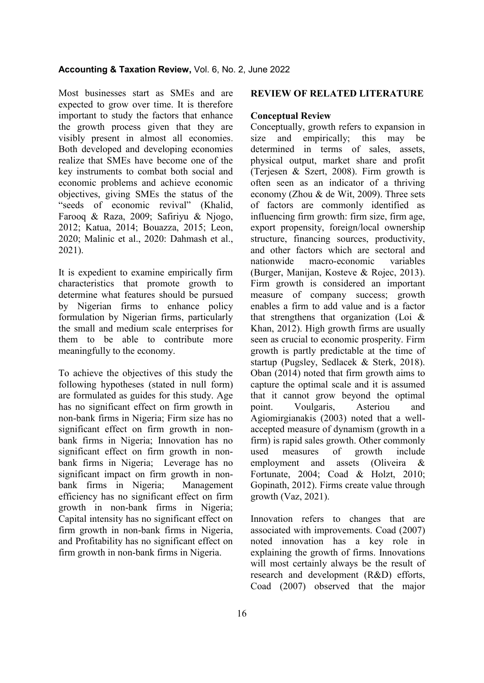Most businesses start as SMEs and are expected to grow over time. It is therefore important to study the factors that enhance the growth process given that they are visibly present in almost all economies. Both developed and developing economies realize that SMEs have become one of the key instruments to combat both social and economic problems and achieve economic objectives, giving SMEs the status of the "seeds of economic revival" (Khalid, Farooq & Raza, 2009; Safiriyu & Njogo, 2012; Katua, 2014; Bouazza, 2015; Leon, 2020; Malinic et al., 2020: Dahmash et al., 2021).

It is expedient to examine empirically firm characteristics that promote growth to determine what features should be pursued by Nigerian firms to enhance policy formulation by Nigerian firms, particularly the small and medium scale enterprises for them to be able to contribute more meaningfully to the economy.

To achieve the objectives of this study the following hypotheses (stated in null form) are formulated as guides for this study. Age has no significant effect on firm growth in non-bank firms in Nigeria; Firm size has no significant effect on firm growth in nonbank firms in Nigeria; Innovation has no significant effect on firm growth in nonbank firms in Nigeria; Leverage has no significant impact on firm growth in nonbank firms in Nigeria; Management efficiency has no significant effect on firm growth in non-bank firms in Nigeria; Capital intensity has no significant effect on firm growth in non-bank firms in Nigeria, and Profitability has no significant effect on firm growth in non-bank firms in Nigeria.

#### **REVIEW OF RELATED LITERATURE**

#### **Conceptual Review**

Conceptually, growth refers to expansion in size and empirically; this may be determined in terms of sales, assets, physical output, market share and profit (Terjesen & Szert, 2008). Firm growth is often seen as an indicator of a thriving economy (Zhou & de Wit, 2009). Three sets of factors are commonly identified as influencing firm growth: firm size, firm age, export propensity, foreign/local ownership structure, financing sources, productivity, and other factors which are sectoral and nationwide macro-economic variables (Burger, Manijan, Kosteve & Rojec, 2013). Firm growth is considered an important measure of company success; growth enables a firm to add value and is a factor that strengthens that organization (Loi & Khan, 2012). High growth firms are usually seen as crucial to economic prosperity. Firm growth is partly predictable at the time of startup (Pugsley, Sedlacek & Sterk, 2018). Oban (2014) noted that firm growth aims to capture the optimal scale and it is assumed that it cannot grow beyond the optimal point. Voulgaris, Asteriou and Agiomirgianakis (2003) noted that a wellaccepted measure of dynamism (growth in a firm) is rapid sales growth. Other commonly used measures of growth include employment and assets (Oliveira & Fortunate, 2004; Coad & Holzt, 2010; Gopinath, 2012). Firms create value through growth (Vaz, 2021).

Innovation refers to changes that are associated with improvements. Coad (2007) noted innovation has a key role in explaining the growth of firms. Innovations will most certainly always be the result of research and development (R&D) efforts, Coad (2007) observed that the major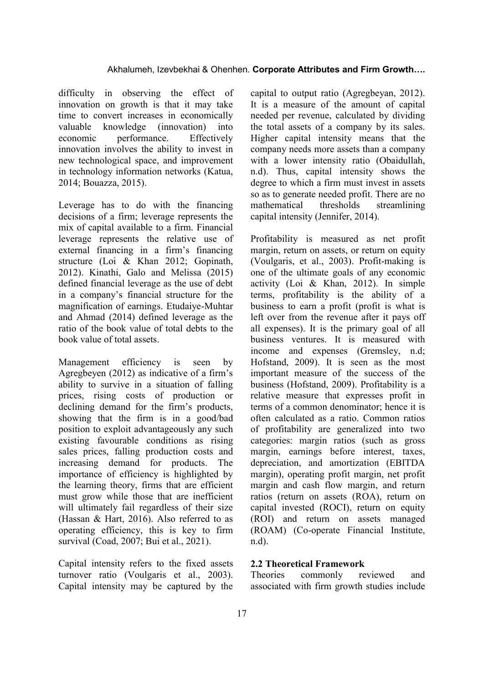difficulty in observing the effect of innovation on growth is that it may take time to convert increases in economically valuable knowledge (innovation) into economic performance. Effectively innovation involves the ability to invest in new technological space, and improvement in technology information networks (Katua, 2014; Bouazza, 2015).

Leverage has to do with the financing decisions of a firm; leverage represents the mix of capital available to a firm. Financial leverage represents the relative use of external financing in a firm's financing structure (Loi & Khan 2012; Gopinath, 2012). Kinathi, Galo and Melissa (2015) defined financial leverage as the use of debt in a company's financial structure for the magnification of earnings. Etudaiye-Muhtar and Ahmad (2014) defined leverage as the ratio of the book value of total debts to the book value of total assets.

Management efficiency is seen by Agregbeyen (2012) as indicative of a firm's ability to survive in a situation of falling prices, rising costs of production or declining demand for the firm's products, showing that the firm is in a good/bad position to exploit advantageously any such existing favourable conditions as rising sales prices, falling production costs and increasing demand for products. The importance of efficiency is highlighted by the learning theory, firms that are efficient must grow while those that are inefficient will ultimately fail regardless of their size (Hassan & Hart, 2016). Also referred to as operating efficiency, this is key to firm survival (Coad, 2007; Bui et al., 2021).

Capital intensity refers to the fixed assets turnover ratio (Voulgaris et al., 2003). Capital intensity may be captured by the

capital to output ratio (Agregbeyan, 2012). It is a measure of the amount of capital needed per revenue, calculated by dividing the total assets of a company by its sales. Higher capital intensity means that the company needs more assets than a company with a lower intensity ratio (Obaidullah, n.d). Thus, capital intensity shows the degree to which a firm must invest in assets so as to generate needed profit. There are no mathematical thresholds streamlining capital intensity (Jennifer, 2014).

Profitability is measured as net profit margin, return on assets, or return on equity (Voulgaris, et al., 2003). Profit-making is one of the ultimate goals of any economic activity (Loi & Khan, 2012). In simple terms, profitability is the ability of a business to earn a profit (profit is what is left over from the revenue after it pays off all expenses). It is the primary goal of all business ventures. It is measured with income and expenses (Gremsley, n.d; Hofstand, 2009). It is seen as the most important measure of the success of the business (Hofstand, 2009). Profitability is a relative measure that expresses profit in terms of a common denominator; hence it is often calculated as a ratio. Common ratios of profitability are generalized into two categories: margin ratios (such as gross margin, earnings before interest, taxes, depreciation, and amortization (EBITDA margin), operating profit margin, net profit margin and cash flow margin, and return ratios (return on assets (ROA), return on capital invested (ROCI), return on equity (ROI) and return on assets managed (ROAM) (Co-operate Financial Institute, n.d).

# **2.2 Theoretical Framework**

Theories commonly reviewed and associated with firm growth studies include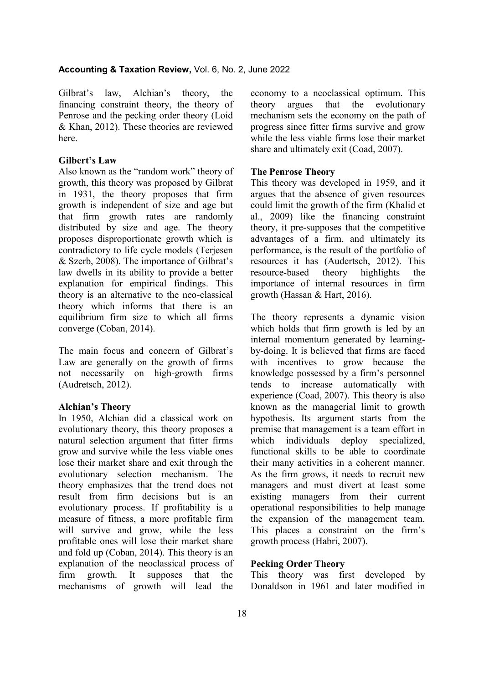Gilbrat's law, Alchian's theory, the financing constraint theory, the theory of Penrose and the pecking order theory (Loid & Khan, 2012). These theories are reviewed here.

#### **Gilbert's Law**

Also known as the "random work" theory of growth, this theory was proposed by Gilbrat in 1931, the theory proposes that firm growth is independent of size and age but that firm growth rates are randomly distributed by size and age. The theory proposes disproportionate growth which is contradictory to life cycle models (Terjesen & Szerb, 2008). The importance of Gilbrat's law dwells in its ability to provide a better explanation for empirical findings. This theory is an alternative to the neo-classical theory which informs that there is an equilibrium firm size to which all firms converge (Coban, 2014).

The main focus and concern of Gilbrat's Law are generally on the growth of firms not necessarily on high-growth firms (Audretsch, 2012).

#### **Alchian's Theory**

In 1950, Alchian did a classical work on evolutionary theory, this theory proposes a natural selection argument that fitter firms grow and survive while the less viable ones lose their market share and exit through the evolutionary selection mechanism. The theory emphasizes that the trend does not result from firm decisions but is an evolutionary process. If profitability is a measure of fitness, a more profitable firm will survive and grow, while the less profitable ones will lose their market share and fold up (Coban, 2014). This theory is an explanation of the neoclassical process of firm growth. It supposes that the mechanisms of growth will lead the

economy to a neoclassical optimum. This theory argues that the evolutionary mechanism sets the economy on the path of progress since fitter firms survive and grow while the less viable firms lose their market share and ultimately exit (Coad, 2007).

#### **The Penrose Theory**

This theory was developed in 1959, and it argues that the absence of given resources could limit the growth of the firm (Khalid et al., 2009) like the financing constraint theory, it pre-supposes that the competitive advantages of a firm, and ultimately its performance, is the result of the portfolio of resources it has (Audertsch, 2012). This<br>resource-based theory highlights the resource-based theory highlights the importance of internal resources in firm growth (Hassan & Hart, 2016).

The theory represents a dynamic vision which holds that firm growth is led by an internal momentum generated by learningby-doing. It is believed that firms are faced with incentives to grow because the knowledge possessed by a firm's personnel tends to increase automatically with experience (Coad, 2007). This theory is also known as the managerial limit to growth hypothesis. Its argument starts from the premise that management is a team effort in which individuals deploy specialized, functional skills to be able to coordinate their many activities in a coherent manner. As the firm grows, it needs to recruit new managers and must divert at least some existing managers from their current operational responsibilities to help manage the expansion of the management team. This places a constraint on the firm's growth process (Habri, 2007).

# **Pecking Order Theory**

This theory was first developed by Donaldson in 1961 and later modified in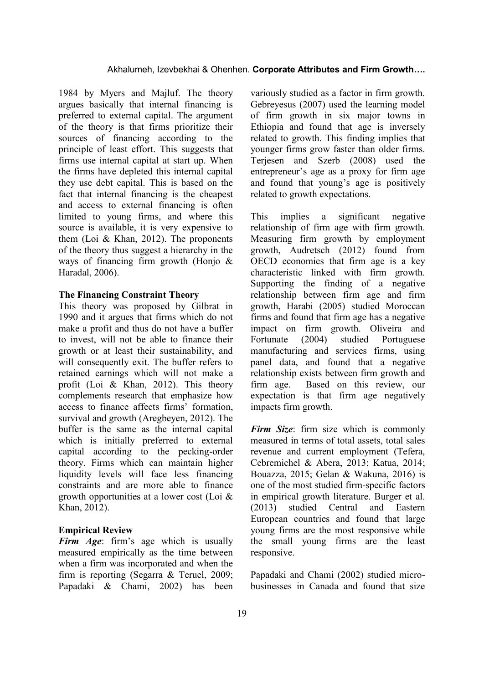1984 by Myers and Majluf. The theory argues basically that internal financing is preferred to external capital. The argument of the theory is that firms prioritize their sources of financing according to the principle of least effort. This suggests that firms use internal capital at start up. When the firms have depleted this internal capital they use debt capital. This is based on the fact that internal financing is the cheapest and access to external financing is often limited to young firms, and where this source is available, it is very expensive to them (Loi & Khan, 2012). The proponents of the theory thus suggest a hierarchy in the ways of financing firm growth (Honjo & Haradal, 2006).

#### **The Financing Constraint Theory**

This theory was proposed by Gilbrat in 1990 and it argues that firms which do not make a profit and thus do not have a buffer to invest, will not be able to finance their growth or at least their sustainability, and will consequently exit. The buffer refers to retained earnings which will not make a profit (Loi & Khan, 2012). This theory complements research that emphasize how access to finance affects firms' formation, survival and growth (Aregbeyen, 2012). The buffer is the same as the internal capital which is initially preferred to external capital according to the pecking-order theory. Firms which can maintain higher liquidity levels will face less financing constraints and are more able to finance growth opportunities at a lower cost (Loi & Khan, 2012).

#### **Empirical Review**

*Firm Age*: firm's age which is usually measured empirically as the time between when a firm was incorporated and when the firm is reporting (Segarra & Teruel, 2009; Papadaki & Chami, 2002) has been

variously studied as a factor in firm growth. Gebreyesus (2007) used the learning model of firm growth in six major towns in Ethiopia and found that age is inversely related to growth. This finding implies that younger firms grow faster than older firms. Terjesen and Szerb (2008) used the entrepreneur's age as a proxy for firm age and found that young's age is positively related to growth expectations.

This implies a significant negative relationship of firm age with firm growth. Measuring firm growth by employment growth, Audretsch (2012) found from OECD economies that firm age is a key characteristic linked with firm growth. Supporting the finding of a negative relationship between firm age and firm growth, Harabi (2005) studied Moroccan firms and found that firm age has a negative impact on firm growth. Oliveira and Fortunate (2004) studied Portuguese manufacturing and services firms, using panel data, and found that a negative relationship exists between firm growth and firm age. Based on this review, our expectation is that firm age negatively impacts firm growth.

*Firm Size*: firm size which is commonly measured in terms of total assets, total sales revenue and current employment (Tefera, Cebremichel & Abera, 2013; Katua, 2014; Bouazza, 2015; Gelan & Wakuna, 2016) is one of the most studied firm-specific factors in empirical growth literature. Burger et al. (2013) studied Central and Eastern European countries and found that large young firms are the most responsive while the small young firms are the least responsive.

Papadaki and Chami (2002) studied microbusinesses in Canada and found that size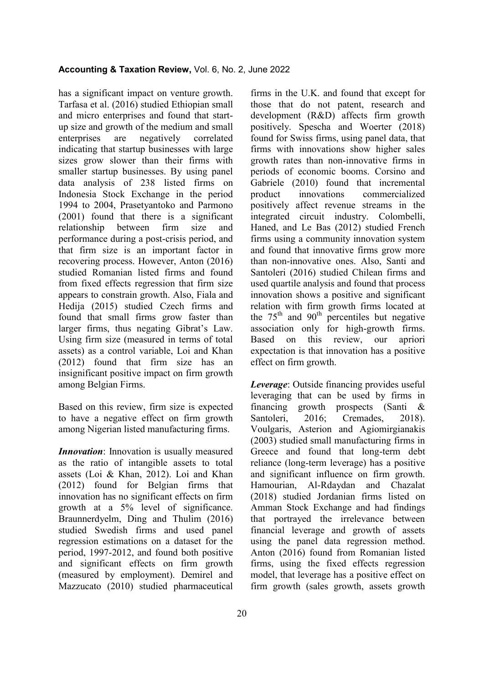has a significant impact on venture growth. Tarfasa et al. (2016) studied Ethiopian small and micro enterprises and found that startup size and growth of the medium and small enterprises are negatively correlated indicating that startup businesses with large sizes grow slower than their firms with smaller startup businesses. By using panel data analysis of 238 listed firms on Indonesia Stock Exchange in the period 1994 to 2004, Prasetyantoko and Parmono (2001) found that there is a significant relationship between firm size and performance during a post-crisis period, and that firm size is an important factor in recovering process. However, Anton (2016) studied Romanian listed firms and found from fixed effects regression that firm size appears to constrain growth. Also, Fiala and Hedija (2015) studied Czech firms and found that small firms grow faster than larger firms, thus negating Gibrat's Law. Using firm size (measured in terms of total assets) as a control variable, Loi and Khan (2012) found that firm size has an insignificant positive impact on firm growth among Belgian Firms.

Based on this review, firm size is expected to have a negative effect on firm growth among Nigerian listed manufacturing firms.

*Innovation*: Innovation is usually measured as the ratio of intangible assets to total assets (Loi & Khan, 2012). Loi and Khan (2012) found for Belgian firms that innovation has no significant effects on firm growth at a 5% level of significance. Braunnerdyelm, Ding and Thulim (2016) studied Swedish firms and used panel regression estimations on a dataset for the period, 1997-2012, and found both positive and significant effects on firm growth (measured by employment). Demirel and Mazzucato (2010) studied pharmaceutical

firms in the U.K. and found that except for those that do not patent, research and development (R&D) affects firm growth positively. Spescha and Woerter (2018) found for Swiss firms, using panel data, that firms with innovations show higher sales growth rates than non-innovative firms in periods of economic booms. Corsino and Gabriele (2010) found that incremental product innovations commercialized positively affect revenue streams in the integrated circuit industry. Colombelli, Haned, and Le Bas (2012) studied French firms using a community innovation system and found that innovative firms grow more than non-innovative ones. Also, Santi and Santoleri (2016) studied Chilean firms and used quartile analysis and found that process innovation shows a positive and significant relation with firm growth firms located at the  $75<sup>th</sup>$  and  $90<sup>th</sup>$  percentiles but negative association only for high-growth firms. Based on this review, our apriori expectation is that innovation has a positive effect on firm growth.

*Leverage*: Outside financing provides useful leveraging that can be used by firms in financing growth prospects (Santi & Santoleri, 2016; Cremades, 2018). Voulgaris, Asterion and Agiomirgianakis (2003) studied small manufacturing firms in Greece and found that long-term debt reliance (long-term leverage) has a positive and significant influence on firm growth. Hamourian, Al-Rdaydan and Chazalat (2018) studied Jordanian firms listed on Amman Stock Exchange and had findings that portrayed the irrelevance between financial leverage and growth of assets using the panel data regression method. Anton (2016) found from Romanian listed firms, using the fixed effects regression model, that leverage has a positive effect on firm growth (sales growth, assets growth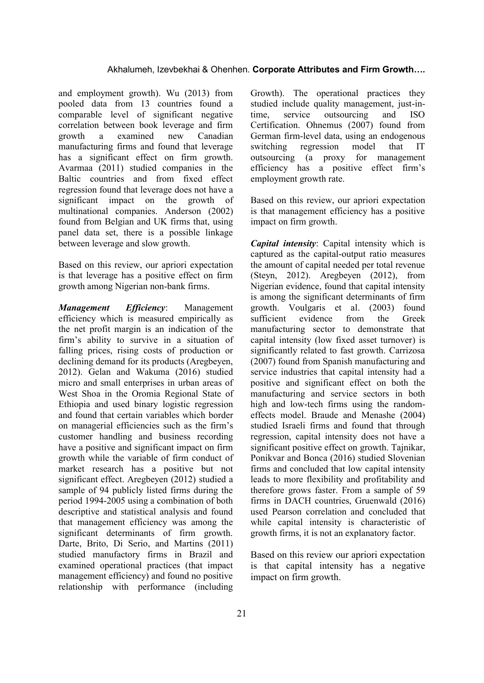and employment growth). Wu (2013) from pooled data from 13 countries found a comparable level of significant negative correlation between book leverage and firm growth a examined new Canadian manufacturing firms and found that leverage has a significant effect on firm growth. Avarmaa (2011) studied companies in the Baltic countries and from fixed effect regression found that leverage does not have a significant impact on the growth of multinational companies. Anderson (2002) found from Belgian and UK firms that, using panel data set, there is a possible linkage between leverage and slow growth.

Based on this review, our apriori expectation is that leverage has a positive effect on firm growth among Nigerian non-bank firms.

*Management Efficiency*: Management efficiency which is measured empirically as the net profit margin is an indication of the firm's ability to survive in a situation of falling prices, rising costs of production or declining demand for its products (Aregbeyen, 2012). Gelan and Wakuma (2016) studied micro and small enterprises in urban areas of West Shoa in the Oromia Regional State of Ethiopia and used binary logistic regression and found that certain variables which border on managerial efficiencies such as the firm's customer handling and business recording have a positive and significant impact on firm growth while the variable of firm conduct of market research has a positive but not significant effect. Aregbeyen (2012) studied a sample of 94 publicly listed firms during the period 1994-2005 using a combination of both descriptive and statistical analysis and found that management efficiency was among the significant determinants of firm growth. Darte, Brito, Di Serio, and Martins (2011) studied manufactory firms in Brazil and examined operational practices (that impact management efficiency) and found no positive relationship with performance (including

Growth). The operational practices they studied include quality management, just-intime, service outsourcing and ISO Certification. Ohnemus (2007) found from German firm-level data, using an endogenous switching regression model that IT outsourcing (a proxy for management efficiency has a positive effect firm's employment growth rate.

Based on this review, our apriori expectation is that management efficiency has a positive impact on firm growth.

*Capital intensity*: Capital intensity which is captured as the capital-output ratio measures the amount of capital needed per total revenue (Steyn, 2012). Aregbeyen (2012), from Nigerian evidence, found that capital intensity is among the significant determinants of firm growth. Voulgaris et al. (2003) found sufficient evidence from the Greek manufacturing sector to demonstrate that capital intensity (low fixed asset turnover) is significantly related to fast growth. Carrizosa (2007) found from Spanish manufacturing and service industries that capital intensity had a positive and significant effect on both the manufacturing and service sectors in both high and low-tech firms using the randomeffects model. Braude and Menashe (2004) studied Israeli firms and found that through regression, capital intensity does not have a significant positive effect on growth. Tajnikar, Ponikvar and Bonca (2016) studied Slovenian firms and concluded that low capital intensity leads to more flexibility and profitability and therefore grows faster. From a sample of 59 firms in DACH countries, Gruenwald (2016) used Pearson correlation and concluded that while capital intensity is characteristic of growth firms, it is not an explanatory factor.

Based on this review our apriori expectation is that capital intensity has a negative impact on firm growth.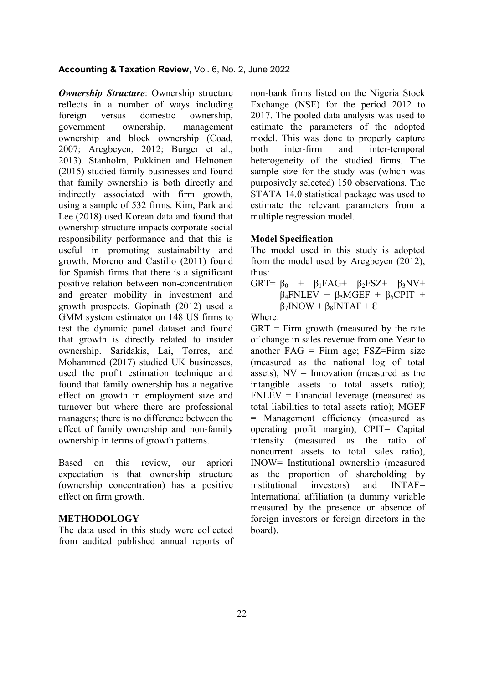*Ownership Structure*: Ownership structure reflects in a number of ways including foreign versus domestic ownership, government ownership, management ownership and block ownership (Coad, 2007; Aregbeyen, 2012; Burger et al., 2013). Stanholm, Pukkinen and Helnonen (2015) studied family businesses and found that family ownership is both directly and indirectly associated with firm growth, using a sample of 532 firms. Kim, Park and Lee (2018) used Korean data and found that ownership structure impacts corporate social responsibility performance and that this is useful in promoting sustainability and growth. Moreno and Castillo (2011) found for Spanish firms that there is a significant positive relation between non-concentration and greater mobility in investment and growth prospects. Gopinath (2012) used a GMM system estimator on 148 US firms to test the dynamic panel dataset and found that growth is directly related to insider ownership. Saridakis, Lai, Torres, and Mohammed (2017) studied UK businesses, used the profit estimation technique and found that family ownership has a negative effect on growth in employment size and turnover but where there are professional managers; there is no difference between the effect of family ownership and non-family ownership in terms of growth patterns.

Based on this review, our apriori expectation is that ownership structure (ownership concentration) has a positive effect on firm growth.

#### **METHODOLOGY**

The data used in this study were collected from audited published annual reports of non-bank firms listed on the Nigeria Stock Exchange (NSE) for the period 2012 to 2017. The pooled data analysis was used to estimate the parameters of the adopted model. This was done to properly capture both inter-firm and inter-temporal heterogeneity of the studied firms. The sample size for the study was (which was purposively selected) 150 observations. The STATA 14.0 statistical package was used to estimate the relevant parameters from a multiple regression model.

## **Model Specification**

The model used in this study is adopted from the model used by Aregbeyen (2012), thus:

GRT=  $\beta_0$  +  $\beta_1$ FAG+  $\beta_2$ FSZ+  $\beta_3$ NV+  $\beta_4$ FNLEV +  $\beta_5$ MGEF +  $\beta_6$ CPIT +  $\beta_7 INOW + \beta_8 INTAF + \epsilon$ 

Where:

 $GRT =$  Firm growth (measured by the rate of change in sales revenue from one Year to another  $FAG = Firm \, age$ ;  $FSZ = Firm \, size$ (measured as the national log of total assets),  $NV = Innovation$  (measured as the intangible assets to total assets ratio); FNLEV = Financial leverage (measured as total liabilities to total assets ratio); MGEF = Management efficiency (measured as operating profit margin), CPIT= Capital intensity (measured as the ratio of noncurrent assets to total sales ratio), INOW= Institutional ownership (measured as the proportion of shareholding by institutional investors) and INTAF= International affiliation (a dummy variable measured by the presence or absence of foreign investors or foreign directors in the board).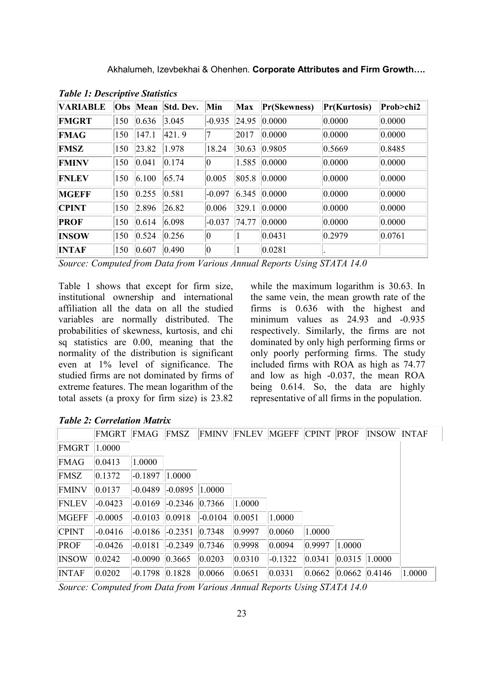Akhalumeh, Izevbekhai & Ohenhen. **Corporate Attributes and Firm Growth….**

| <b>VARIABLE</b> |     | <b>Obs</b> Mean | Std. Dev. | Min         | Max   | Pr(Skewness) | Pr(Kurtosis)     | Prob>chi2 |
|-----------------|-----|-----------------|-----------|-------------|-------|--------------|------------------|-----------|
| <b>FMGRT</b>    | 150 | 0.636           | 3.045     | $-0.935$    | 24.95 | 0.0000       | 0.0000           | 0.0000    |
| <b>FMAG</b>     | 150 | 147.1           | 421.9     | 7           | 2017  | 0.0000       | 0.0000           | 0.0000    |
| <b>FMSZ</b>     | 150 | 23.82           | 1.978     | 18.24       | 30.63 | 0.9805       | $ 0.5669\rangle$ | 0.8485    |
| <b>FMINV</b>    | 150 | 0.041           | 0.174     | $ 0\rangle$ | 1.585 | 0.0000       | 0.0000           | 0.0000    |
| <b>FNLEV</b>    | 150 | 6.100           | 65.74     | 0.005       | 805.8 | 0.0000       | 0.0000           | 0.0000    |
| <b>MGEFF</b>    | 150 | 0.255           | 0.581     | $-0.097$    | 6.345 | 0.0000       | 0.0000           | 0.0000    |
| <b>CPINT</b>    | 150 | 2.896           | 26.82     | 0.006       | 329.1 | 0.0000       | 0.0000           | 0.0000    |
| <b>PROF</b>     | 150 | 0.614           | 6.098     | $-0.037$    | 74.77 | 0.0000       | 0.0000           | 0.0000    |
| INSOW           | 150 | 0.524           | 0.256     | $ 0\rangle$ |       | 0.0431       | 0.2979           | 0.0761    |
| <b>INTAF</b>    | 150 | 0.607           | 0.490     | $ 0\rangle$ |       | 0.0281       |                  |           |

*Table 1: Descriptive Statistics*

*Source: Computed from Data from Various Annual Reports Using STATA 14.0*

Table 1 shows that except for firm size, institutional ownership and international affiliation all the data on all the studied variables are normally distributed. The probabilities of skewness, kurtosis, and chi sq statistics are 0.00, meaning that the normality of the distribution is significant even at 1% level of significance. The studied firms are not dominated by firms of extreme features. The mean logarithm of the total assets (a proxy for firm size) is 23.82

while the maximum logarithm is 30.63. In the same vein, the mean growth rate of the firms is 0.636 with the highest and minimum values as 24.93 and -0.935 respectively. Similarly, the firms are not dominated by only high performing firms or only poorly performing firms. The study included firms with ROA as high as 74.77 and low as high -0.037, the mean ROA being 0.614. So, the data are highly representative of all firms in the population.

|              | <b>FMGRT</b> | FMAG      | FMSZ      | <b>FMINV</b> | <b>FNLEV</b> | <b>MGEFF</b> | <b>CPINT</b> | <b>PROF</b> | INSOW  | <b>INTAF</b> |
|--------------|--------------|-----------|-----------|--------------|--------------|--------------|--------------|-------------|--------|--------------|
| FMGRT        | 1.0000       |           |           |              |              |              |              |             |        |              |
| <b>FMAG</b>  | 0.0413       | 1.0000    |           |              |              |              |              |             |        |              |
| FMSZ         | 0.1372       | $-0.1897$ | 1.0000    |              |              |              |              |             |        |              |
| <b>FMINV</b> | 0.0137       | $-0.0489$ | $-0.0895$ | 1.0000       |              |              |              |             |        |              |
| <b>FNLEV</b> | $-0.0423$    | $-0.0169$ | $-0.2346$ | 0.7366       | 1.0000       |              |              |             |        |              |
| <b>MGEFF</b> | $-0.0005$    | $-0.0103$ | 0.0918    | $-0.0104$    | 0.0051       | 1.0000       |              |             |        |              |
| <b>CPINT</b> | $-0.0416$    | $-0.0186$ | $-0.2351$ | 0.7348       | 0.9997       | 0.0060       | 1.0000       |             |        |              |
| PROF         | $-0.0426$    | $-0.0181$ | $-0.2349$ | 0.7346       | 0.9998       | 0.0094       | 0.9997       | 1.0000      |        |              |
| <b>INSOW</b> | 0.0242       | $-0.0090$ | 0.3665    | 0.0203       | 0.0310       | $-0.1322$    | 0.0341       | 0.0315      | 1.0000 |              |
| <b>INTAF</b> | 0.0202       | $-0.1798$ | 0.1828    | 0.0066       | 0.0651       | 0.0331       | 0.0662       | 0.0662      | 0.4146 | 1.0000       |

*Table 2: Correlation Matrix*

*Source: Computed from Data from Various Annual Reports Using STATA 14.0*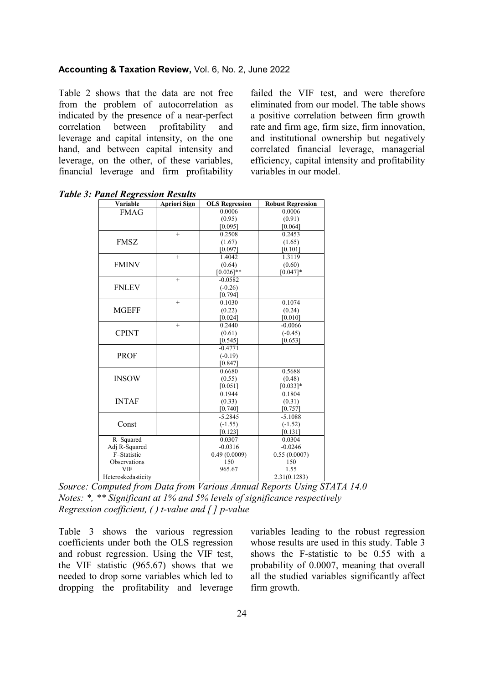Table 2 shows that the data are not free from the problem of autocorrelation as indicated by the presence of a near-perfect correlation between profitability and leverage and capital intensity, on the one hand, and between capital intensity and leverage, on the other, of these variables, financial leverage and firm profitability failed the VIF test, and were therefore eliminated from our model. The table shows a positive correlation between firm growth rate and firm age, firm size, firm innovation, and institutional ownership but negatively correlated financial leverage, managerial efficiency, capital intensity and profitability variables in our model.

| Variable           | <b>Apriori Sign</b> | <b>OLS Regression</b> | <b>Robust Regression</b> |
|--------------------|---------------------|-----------------------|--------------------------|
| <b>FMAG</b>        |                     | 0.0006                | 0.0006                   |
|                    |                     | (0.95)                | (0.91)                   |
|                    |                     | [0.095]               | [0.064]                  |
|                    | $+$                 | 0.2508                | 0.2453                   |
| <b>FMSZ</b>        |                     | (1.67)                | (1.65)                   |
|                    |                     | [0.097]               | [0.101]                  |
|                    | $\ddot{}$           | 1.4042                | 1.3119                   |
| <b>FMINV</b>       |                     | (0.64)                | (0.60)                   |
|                    |                     | $[0.026]$ **          | $[0.047]*$               |
|                    | $+$                 | $-0.0582$             |                          |
| <b>FNLEV</b>       |                     | $(-0.26)$             |                          |
|                    |                     | [0.794]               |                          |
|                    | $+$                 | 0.1030                | 0.1074                   |
| <b>MGEFF</b>       |                     | (0.22)                | (0.24)                   |
|                    |                     | [0.024]               | [0.010]                  |
|                    | $\ddot{}$           | 0.2440                | $-0.0066$                |
| <b>CPINT</b>       |                     | (0.61)                | $(-0.45)$                |
|                    |                     | [0.545]               | [0.653]                  |
|                    |                     | $-0.4771$             |                          |
| <b>PROF</b>        |                     | $(-0.19)$             |                          |
|                    |                     | [0.847]               |                          |
|                    |                     | 0.6680                | 0.5688                   |
| <b>INSOW</b>       |                     | (0.55)                | (0.48)                   |
|                    |                     | [0.051]               | $[0.033]*$               |
|                    |                     | 0.1944                | 0.1804                   |
| <b>INTAF</b>       |                     | (0.33)                | (0.31)                   |
|                    |                     | [0.740]               | [0.757]                  |
|                    |                     | $-5.2845$             | $-5.1088$                |
| Const              |                     | $(-1.55)$             | $(-1.52)$                |
|                    |                     | [0.123]               | [0.131]                  |
| R-Squared          |                     | 0.0307                | 0.0304                   |
| Adj R-Squared      |                     | $-0.0316$             | $-0.0246$                |
| F-Statistic        |                     | 0.49(0.0009)          | 0.55(0.0007)             |
| Observations       |                     | 150                   | 150                      |
| <b>VIF</b>         |                     | 965.67                | 1.55                     |
| Heteroskedasticity |                     |                       | 2.31(0.1283)             |

*Table 3: Panel Regression Results*

*Source: Computed from Data from Various Annual Reports Using STATA 14.0 Notes: \*, \*\* Significant at 1% and 5% levels of significance respectively Regression coefficient, ( ) t-value and [ ] p-value* 

Table 3 shows the various regression coefficients under both the OLS regression and robust regression. Using the VIF test, the VIF statistic (965.67) shows that we needed to drop some variables which led to dropping the profitability and leverage variables leading to the robust regression whose results are used in this study. Table 3 shows the F-statistic to be 0.55 with a probability of 0.0007, meaning that overall all the studied variables significantly affect firm growth.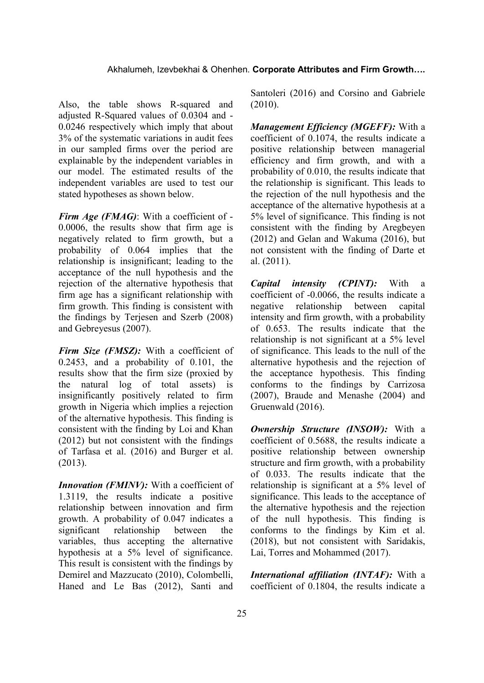Also, the table shows R-squared and adjusted R-Squared values of 0.0304 and - 0.0246 respectively which imply that about 3% of the systematic variations in audit fees in our sampled firms over the period are explainable by the independent variables in our model. The estimated results of the independent variables are used to test our stated hypotheses as shown below.

*Firm Age (FMAG)*: With a coefficient of - 0.0006, the results show that firm age is negatively related to firm growth, but a probability of 0.064 implies that the relationship is insignificant; leading to the acceptance of the null hypothesis and the rejection of the alternative hypothesis that firm age has a significant relationship with firm growth. This finding is consistent with the findings by Terjesen and Szerb (2008) and Gebreyesus (2007).

*Firm Size (FMSZ):* With a coefficient of 0.2453, and a probability of 0.101, the results show that the firm size (proxied by the natural log of total assets) is insignificantly positively related to firm growth in Nigeria which implies a rejection of the alternative hypothesis. This finding is consistent with the finding by Loi and Khan (2012) but not consistent with the findings of Tarfasa et al. (2016) and Burger et al. (2013).

*Innovation (FMINV):* With a coefficient of 1.3119, the results indicate a positive relationship between innovation and firm growth. A probability of 0.047 indicates a significant relationship between the variables, thus accepting the alternative hypothesis at a 5% level of significance. This result is consistent with the findings by Demirel and Mazzucato (2010), Colombelli, Haned and Le Bas (2012), Santi and

Santoleri (2016) and Corsino and Gabriele (2010).

*Management Efficiency (MGEFF):* With a coefficient of 0.1074, the results indicate a positive relationship between managerial efficiency and firm growth, and with a probability of 0.010, the results indicate that the relationship is significant. This leads to the rejection of the null hypothesis and the acceptance of the alternative hypothesis at a 5% level of significance. This finding is not consistent with the finding by Aregbeyen (2012) and Gelan and Wakuma (2016), but not consistent with the finding of Darte et al. (2011).

*Capital intensity (CPINT):* With a coefficient of -0.0066, the results indicate a negative relationship between capital intensity and firm growth, with a probability of 0.653. The results indicate that the relationship is not significant at a 5% level of significance. This leads to the null of the alternative hypothesis and the rejection of the acceptance hypothesis. This finding conforms to the findings by Carrizosa (2007), Braude and Menashe (2004) and Gruenwald (2016).

*Ownership Structure (INSOW):* With a coefficient of 0.5688, the results indicate a positive relationship between ownership structure and firm growth, with a probability of 0.033. The results indicate that the relationship is significant at a 5% level of significance. This leads to the acceptance of the alternative hypothesis and the rejection of the null hypothesis. This finding is conforms to the findings by Kim et al. (2018), but not consistent with Saridakis, Lai, Torres and Mohammed (2017).

*International affiliation (INTAF):* With a coefficient of 0.1804, the results indicate a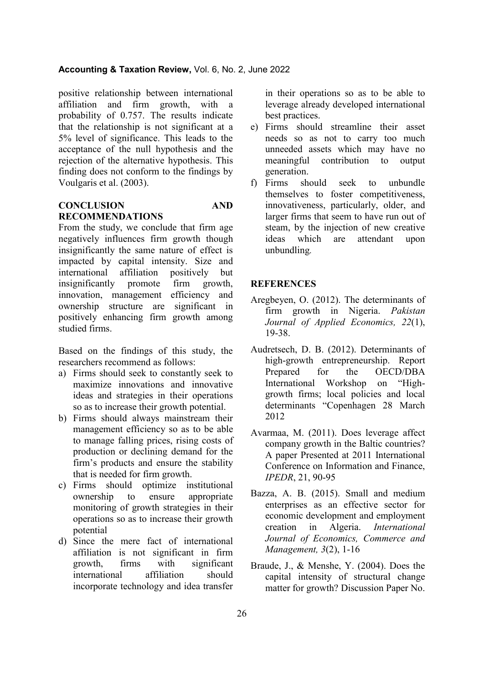positive relationship between international affiliation and firm growth, with a probability of 0.757. The results indicate that the relationship is not significant at a 5% level of significance. This leads to the acceptance of the null hypothesis and the rejection of the alternative hypothesis. This finding does not conform to the findings by Voulgaris et al. (2003).

## **CONCLUSION AND RECOMMENDATIONS**

From the study, we conclude that firm age negatively influences firm growth though insignificantly the same nature of effect is impacted by capital intensity. Size and international affiliation positively but insignificantly promote firm growth, innovation, management efficiency and ownership structure are significant in positively enhancing firm growth among studied firms.

Based on the findings of this study, the researchers recommend as follows:

- a) Firms should seek to constantly seek to maximize innovations and innovative ideas and strategies in their operations so as to increase their growth potential.
- b) Firms should always mainstream their management efficiency so as to be able to manage falling prices, rising costs of production or declining demand for the firm's products and ensure the stability that is needed for firm growth.
- c) Firms should optimize institutional ownership to ensure appropriate monitoring of growth strategies in their operations so as to increase their growth potential
- d) Since the mere fact of international affiliation is not significant in firm growth, firms with significant international affiliation should incorporate technology and idea transfer

in their operations so as to be able to leverage already developed international best practices.

- e) Firms should streamline their asset needs so as not to carry too much unneeded assets which may have no meaningful contribution to output generation.
- f) Firms should seek to unbundle themselves to foster competitiveness, innovativeness, particularly, older, and larger firms that seem to have run out of steam, by the injection of new creative ideas which are attendant upon unbundling*.*

## **REFERENCES**

- Aregbeyen, O. (2012). The determinants of firm growth in Nigeria. *Pakistan Journal of Applied Economics, 22*(1), 19-38.
- Audretsech, D. B. (2012). Determinants of high-growth entrepreneurship. Report Prepared for the OECD/DBA International Workshop on "Highgrowth firms; local policies and local determinants "Copenhagen 28 March 2012
- Avarmaa, M. (2011). Does leverage affect company growth in the Baltic countries? A paper Presented at 2011 International Conference on Information and Finance, *IPEDR*, 21, 90-95
- Bazza, A. B. (2015). Small and medium enterprises as an effective sector for economic development and employment creation in Algeria. *International Journal of Economics, Commerce and Management, 3*(2), 1-16
- Braude, J., & Menshe, Y. (2004). Does the capital intensity of structural change matter for growth? Discussion Paper No.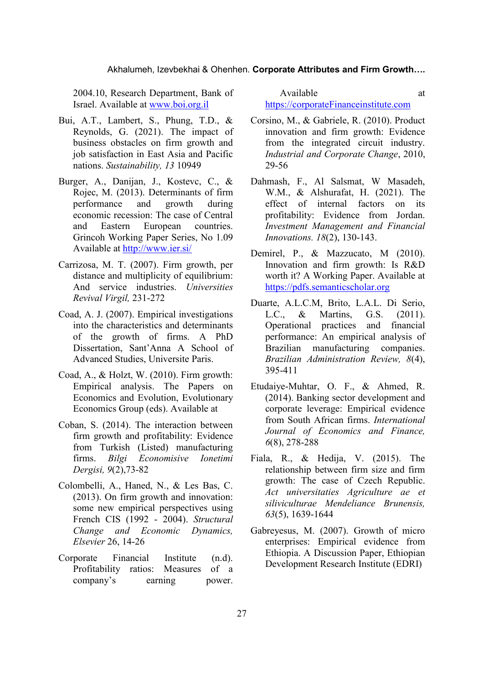2004.10, Research Department, Bank of Israel. Available at [www.boi.org.il](http://www.boi.org.il/)

- Bui, A.T., Lambert, S., Phung, T.D., & Reynolds, G. (2021). The impact of business obstacles on firm growth and job satisfaction in East Asia and Pacific nations. *Sustainability, 13* 10949
- Burger, A., Danijan, J., Kostevc, C., & Rojec, M. (2013). Determinants of firm performance and growth during economic recession: The case of Central and Eastern European countries. Grincoh Working Paper Series, No 1.09 Available at<http://www.ier.si/>
- Carrizosa, M. T. (2007). Firm growth, per distance and multiplicity of equilibrium: And service industries. *Universities Revival Virgil,* 231-272
- Coad, A. J. (2007). Empirical investigations into the characteristics and determinants of the growth of firms. A PhD Dissertation, Sant'Anna A School of Advanced Studies, Universite Paris.
- Coad, A., & Holzt, W. (2010). Firm growth: Empirical analysis. The Papers on Economics and Evolution, Evolutionary Economics Group (eds). Available at
- Coban, S. (2014). The interaction between firm growth and profitability: Evidence from Turkish (Listed) manufacturing firms. *Bilgi Economisive Ionetimi Dergisi, 9*(2),73-82
- Colombelli, A., Haned, N., & Les Bas, C. (2013). On firm growth and innovation: some new empirical perspectives using French CIS (1992 - 2004). *Structural Change and Economic Dynamics, Elsevier* 26, 14-26
- Corporate Financial Institute (n.d). Profitability ratios: Measures of a company's earning power.

Available at a state at a state at a state at a state at a state at a state at a state at a state at a state at a state at a state at a state at a state at a state at a state at a state at a state at a state at a state at [https://corporateFinanceinstitute.com](https://corporatefinanceinstitute.com/)

- Corsino, M., & Gabriele, R. (2010). Product innovation and firm growth: Evidence from the integrated circuit industry. *Industrial and Corporate Change*, 2010, 29-56
- Dahmash, F., Al Salsmat, W Masadeh, W.M., & Alshurafat, H. (2021). The effect of internal factors on its profitability: Evidence from Jordan. *Investment Management and Financial Innovations. 18*(2), 130-143.
- Demirel, P., & Mazzucato, M (2010). Innovation and firm growth: Is R&D worth it? A Working Paper. Available at [https://pdfs.semanticscholar.org](https://pdfs.semanticscholar.org/)
- Duarte, A.L.C.M, Brito, L.A.L. Di Serio, L.C., & Martins, G.S. (2011). Operational practices and financial performance: An empirical analysis of Brazilian manufacturing companies. *Brazilian Administration Review, 8*(4), 395-411
- Etudaiye-Muhtar, O. F., & Ahmed, R. (2014). Banking sector development and corporate leverage: Empirical evidence from South African firms. *International Journal of Economics and Finance, 6*(8), 278-288
- Fiala, R., & Hedija, V. (2015). The relationship between firm size and firm growth: The case of Czech Republic. *Act universitaties Agriculture ae et siliviculturae Mendeliance Brunensis, 63*(5), 1639-1644
- Gabreyesus, M. (2007). Growth of micro enterprises: Empirical evidence from Ethiopia. A Discussion Paper, Ethiopian Development Research Institute (EDRI)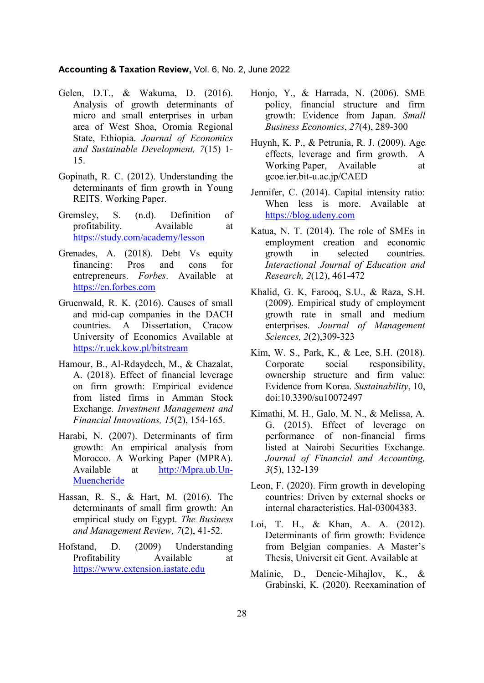- Gelen, D.T., & Wakuma, D. (2016). Analysis of growth determinants of micro and small enterprises in urban area of West Shoa, Oromia Regional State, Ethiopia. *Journal of Economics and Sustainable Development, 7*(15) 1- 15.
- Gopinath, R. C. (2012). Understanding the determinants of firm growth in Young REITS. Working Paper.
- Gremsley, S. (n.d). Definition of profitability. Available at <https://study.com/academy/lesson>
- Grenades, A. (2018). Debt Vs equity financing: Pros and cons for entrepreneurs. *Forbes*. Available at [https://en.forbes.com](https://en.forbes.com/)
- Gruenwald, R. K. (2016). Causes of small and mid-cap companies in the DACH countries. A Dissertation, Cracow University of Economics Available at <https://r.uek.kow.pl/bitstream>
- Hamour, B., Al-Rdaydech, M., & Chazalat, A. (2018). Effect of financial leverage on firm growth: Empirical evidence from listed firms in Amman Stock Exchange. *Investment Management and Financial Innovations, 15*(2), 154-165.
- Harabi, N. (2007). Determinants of firm growth: An empirical analysis from Morocco. A Working Paper (MPRA). Available at [http://Mpra.ub.Un-](http://mpra.ub.un-muencheride/)[Muencheride](http://mpra.ub.un-muencheride/)
- Hassan, R. S., & Hart, M. (2016). The determinants of small firm growth: An empirical study on Egypt. *The Business and Management Review, 7*(2), 41-52.
- Hofstand, D. (2009) Understanding Profitability Available at [https://www.extension.iastate.edu](https://www.extension.iastate.edu/)
- Honio, Y., & Harrada, N. (2006). SME policy, financial structure and firm growth: Evidence from Japan. *Small Business Economics*, *27*(4), 289-300
- Huynh, K. P., & Petrunia, R. J. (2009). Age effects, leverage and firm growth. A Working Paper, Available at gcoe.ier.bit-u.ac.jp/CAED
- Jennifer, C. (2014). Capital intensity ratio: When less is more. Available at [https://blog.udeny.com](https://blog.udeny.com/)
- Katua, N. T. (2014). The role of SMEs in employment creation and economic growth in selected countries. *Interactional Journal of Education and Research, 2*(12), 461-472
- Khalid, G. K, Farooq, S.U., & Raza, S.H. (2009). Empirical study of employment growth rate in small and medium enterprises. *Journal of Management Sciences, 2*(2),309-323
- Kim, W. S., Park, K., & Lee, S.H. (2018). Corporate social responsibility, ownership structure and firm value: Evidence from Korea. *Sustainability*, 10, doi:10.3390/su10072497
- Kimathi, M. H., Galo, M. N., & Melissa, A. G. (2015). Effect of leverage on performance of non-financial firms listed at Nairobi Securities Exchange. *Journal of Financial and Accounting, 3*(5), 132-139
- Leon, F. (2020). Firm growth in developing countries: Driven by external shocks or internal characteristics. Hal-03004383.
- Loi, T. H., & Khan, A. A. (2012). Determinants of firm growth: Evidence from Belgian companies. A Master's Thesis, Universit eit Gent. Available at
- Malinic, D., Dencic-Mihajlov, K., & Grabinski, K. (2020). Reexamination of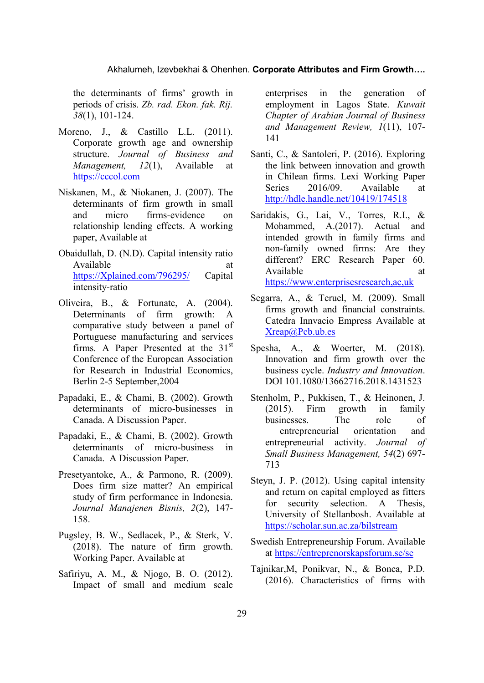#### Akhalumeh, Izevbekhai & Ohenhen. **Corporate Attributes and Firm Growth….**

the determinants of firms' growth in periods of crisis. *Zb. rad. Ekon. fak. Rij. 38*(1), 101-124.

- Moreno, J., & Castillo L.L. (2011). Corporate growth age and ownership structure. *Journal of Business and Management, 12*(1), Available at [https://cccol.com](https://cccol.com/)
- Niskanen, M., & Niokanen, J. (2007). The determinants of firm growth in small and micro firms-evidence on relationship lending effects. A working paper, Available at
- Obaidullah, D. (N.D). Capital intensity ratio Available at a state at a state at a state and a state at a state at a state at a state at a state at a state at a state at a state at a state at a state at a state at a state at a state at a state at  $\alpha$  state at a state [https://Xplained.com/796295/](https://xplained.com/796295/) Capital intensity-ratio
- Oliveira, B., & Fortunate, A. (2004). Determinants of firm growth: A comparative study between a panel of Portuguese manufacturing and services firms. A Paper Presented at the  $31<sup>st</sup>$ Conference of the European Association for Research in Industrial Economics, Berlin 2-5 September,2004
- Papadaki, E., & Chami, B. (2002). Growth determinants of micro-businesses in Canada. A Discussion Paper.
- Papadaki, E., & Chami, B. (2002). Growth determinants of micro-business in Canada. A Discussion Paper.
- Presetyantoke, A., & Parmono, R. (2009). Does firm size matter? An empirical study of firm performance in Indonesia. *Journal Manajenen Bisnis, 2*(2), 147- 158.
- Pugsley, B. W., Sedlacek, P., & Sterk, V. (2018). The nature of firm growth. Working Paper. Available at
- Safiriyu, A. M., & Njogo, B. O. (2012). Impact of small and medium scale

enterprises in the generation of employment in Lagos State. *Kuwait Chapter of Arabian Journal of Business and Management Review, 1*(11), 107- 141

- Santi, C., & Santoleri, P. (2016). Exploring the link between innovation and growth in Chilean firms. Lexi Working Paper Series 2016/09. Available at <http://hdle.handle.net/10419/174518>
- Saridakis, G., Lai, V., Torres, R.I., & Mohammed, A.(2017). Actual and intended growth in family firms and non-family owned firms: Are they different? ERC Research Paper 60. Available at a state at a state at a state and a state at a state at a state at a state at a state at a state at a state at a state at a state at a state at a state at a state at a state at a state at a state at a state at [https://www.enterprisesresearch,ac,uk](https://www.enterprisesresearch,ac,uk/)
- Segarra, A., & Teruel, M. (2009). Small firms growth and financial constraints. Catedra Innvacio Empress Available at [Xreap@Pcb.ub.es](mailto:Xreap@Pcb.ub.es)
- Spesha, A., & Woerter, M. (2018). Innovation and firm growth over the business cycle. *Industry and Innovation*. DOI 101.1080/13662716.2018.1431523
- Stenholm, P., Pukkisen, T., & Heinonen, J. (2015). Firm growth in family businesses. The role of entrepreneurial orientation and entrepreneurial activity. *Journal of Small Business Management, 54*(2) 697- 713
- Steyn, J. P. (2012). Using capital intensity and return on capital employed as fitters for security selection. A Thesis, University of Stellanbosh. Available at <https://scholar.sun.ac.za/bilstream>
- Swedish Entrepreneurship Forum. Available at<https://entreprenorskapsforum.se/se>
- Tajnikar,M, Ponikvar, N., & Bonca, P.D. (2016). Characteristics of firms with